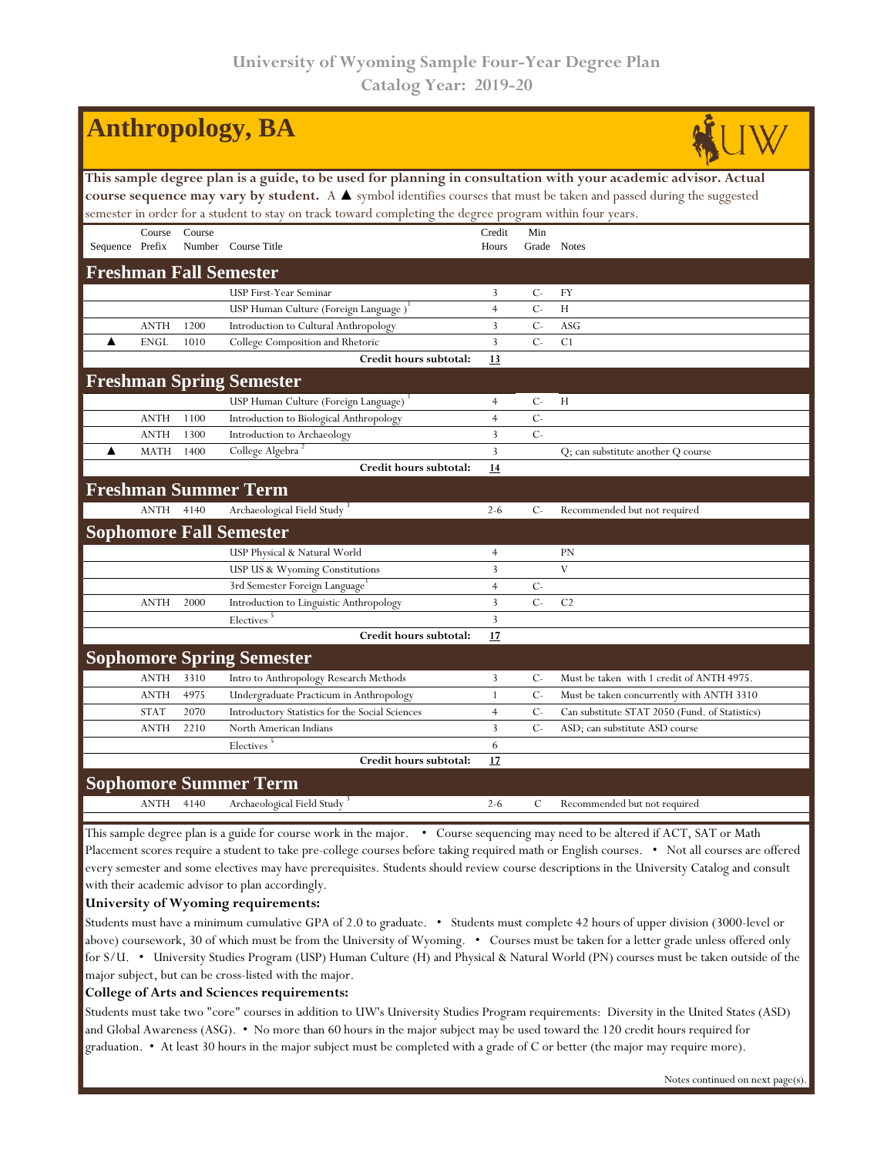| <b>Anthropology, BA</b>                                                                                                              |             |        |                                                 |                |               |                                                |  |  |  |  |  |
|--------------------------------------------------------------------------------------------------------------------------------------|-------------|--------|-------------------------------------------------|----------------|---------------|------------------------------------------------|--|--|--|--|--|
| This sample degree plan is a guide, to be used for planning in consultation with your academic advisor. Actual                       |             |        |                                                 |                |               |                                                |  |  |  |  |  |
| course sequence may vary by student. A $\blacktriangle$ symbol identifies courses that must be taken and passed during the suggested |             |        |                                                 |                |               |                                                |  |  |  |  |  |
| semester in order for a student to stay on track toward completing the degree program within four years.                             |             |        |                                                 |                |               |                                                |  |  |  |  |  |
|                                                                                                                                      | Course      | Course |                                                 | Credit         | Min           |                                                |  |  |  |  |  |
| Sequence Prefix                                                                                                                      |             |        | Number Course Title                             | Hours          | Grade Notes   |                                                |  |  |  |  |  |
| <b>Freshman Fall Semester</b>                                                                                                        |             |        |                                                 |                |               |                                                |  |  |  |  |  |
|                                                                                                                                      |             |        | USP First-Year Seminar                          | 3              | $C-$          | <b>FY</b>                                      |  |  |  |  |  |
|                                                                                                                                      |             |        | USP Human Culture (Foreign Language)            | $\overline{4}$ | $C -$         | H                                              |  |  |  |  |  |
|                                                                                                                                      | <b>ANTH</b> | 1200   | Introduction to Cultural Anthropology           | $\mathbf{3}$   | $C -$         | <b>ASG</b>                                     |  |  |  |  |  |
| ▲                                                                                                                                    | <b>ENGL</b> | 1010   | College Composition and Rhetoric                | $\overline{3}$ | $C -$         | C <sub>1</sub>                                 |  |  |  |  |  |
|                                                                                                                                      |             |        | Credit hours subtotal:                          | 13             |               |                                                |  |  |  |  |  |
|                                                                                                                                      |             |        | <b>Freshman Spring Semester</b>                 |                |               |                                                |  |  |  |  |  |
|                                                                                                                                      |             |        | USP Human Culture (Foreign Language)            | $\overline{4}$ | $C-$          | H                                              |  |  |  |  |  |
|                                                                                                                                      | <b>ANTH</b> | 1100   | Introduction to Biological Anthropology         | $\overline{4}$ | $C -$         |                                                |  |  |  |  |  |
|                                                                                                                                      | <b>ANTH</b> | 1300   | Introduction to Archaeology                     | 3              | $C -$         |                                                |  |  |  |  |  |
| ▲                                                                                                                                    | <b>MATH</b> | 1400   | College Algebra                                 | $\overline{3}$ |               | Q; can substitute another Q course             |  |  |  |  |  |
|                                                                                                                                      |             |        | Credit hours subtotal:                          | 14             |               |                                                |  |  |  |  |  |
|                                                                                                                                      |             |        | <b>Freshman Summer Term</b>                     |                |               |                                                |  |  |  |  |  |
|                                                                                                                                      | <b>ANTH</b> | 4140   | Archaeological Field Study <sup>3</sup>         | $2 - 6$        | $C-$          | Recommended but not required                   |  |  |  |  |  |
|                                                                                                                                      |             |        | <b>Sophomore Fall Semester</b>                  |                |               |                                                |  |  |  |  |  |
|                                                                                                                                      |             |        | USP Physical & Natural World                    | $\overline{4}$ |               | <b>PN</b>                                      |  |  |  |  |  |
|                                                                                                                                      |             |        | USP US & Wyoming Constitutions                  | 3              |               | V                                              |  |  |  |  |  |
|                                                                                                                                      |             |        | 3rd Semester Foreign Language                   | $\overline{4}$ | $C -$         |                                                |  |  |  |  |  |
|                                                                                                                                      | <b>ANTH</b> | 2000   | Introduction to Linguistic Anthropology         | $\overline{3}$ | $C -$         | C <sub>2</sub>                                 |  |  |  |  |  |
|                                                                                                                                      |             |        | Electives <sup>5</sup>                          | $\overline{3}$ |               |                                                |  |  |  |  |  |
|                                                                                                                                      |             |        | Credit hours subtotal:                          | 17             |               |                                                |  |  |  |  |  |
|                                                                                                                                      |             |        | <b>Sophomore Spring Semester</b>                |                |               |                                                |  |  |  |  |  |
|                                                                                                                                      | <b>ANTH</b> | 3310   | Intro to Anthropology Research Methods          | 3              | $C-$          | Must be taken with 1 credit of ANTH 4975.      |  |  |  |  |  |
|                                                                                                                                      | <b>ANTH</b> | 4975   | Undergraduate Practicum in Anthropology         | $\mathbf{1}$   | $C -$         | Must be taken concurrently with ANTH 3310      |  |  |  |  |  |
|                                                                                                                                      | <b>STAT</b> | 2070   | Introductory Statistics for the Social Sciences | $\overline{4}$ | $C -$         | Can substitute STAT 2050 (Fund. of Statistics) |  |  |  |  |  |
|                                                                                                                                      | <b>ANTH</b> | 2210   | North American Indians                          | $\overline{3}$ | $C -$         | ASD; can substitute ASD course                 |  |  |  |  |  |
|                                                                                                                                      |             |        | Electives <sup>5</sup>                          | 6              |               |                                                |  |  |  |  |  |
|                                                                                                                                      |             |        | Credit hours subtotal:                          | 17             |               |                                                |  |  |  |  |  |
|                                                                                                                                      |             |        | <b>Sophomore Summer Term</b>                    |                |               |                                                |  |  |  |  |  |
|                                                                                                                                      | <b>ANTH</b> | 4140   | Archaeological Field Study <sup>3</sup>         | $2 - 6$        | $\mathcal{C}$ | Recommended but not required                   |  |  |  |  |  |

This sample degree plan is a guide for course work in the major. • Course sequencing may need to be altered if ACT, SAT or Math Placement scores require a student to take pre-college courses before taking required math or English courses. • Not all courses are offered every semester and some electives may have prerequisites. Students should review course descriptions in the University Catalog and consult with their academic advisor to plan accordingly.

## **University of Wyoming requirements:**

Students must have a minimum cumulative GPA of 2.0 to graduate. • Students must complete 42 hours of upper division (3000-level or above) coursework, 30 of which must be from the University of Wyoming. • Courses must be taken for a letter grade unless offered only for S/U. • University Studies Program (USP) Human Culture (H) and Physical & Natural World (PN) courses must be taken outside of the major subject, but can be cross-listed with the major.

## **College of Arts and Sciences requirements:**

Students must take two "core" courses in addition to UW's University Studies Program requirements: Diversity in the United States (ASD) and Global Awareness (ASG). • No more than 60 hours in the major subject may be used toward the 120 credit hours required for graduation. • At least 30 hours in the major subject must be completed with a grade of C or better (the major may require more).